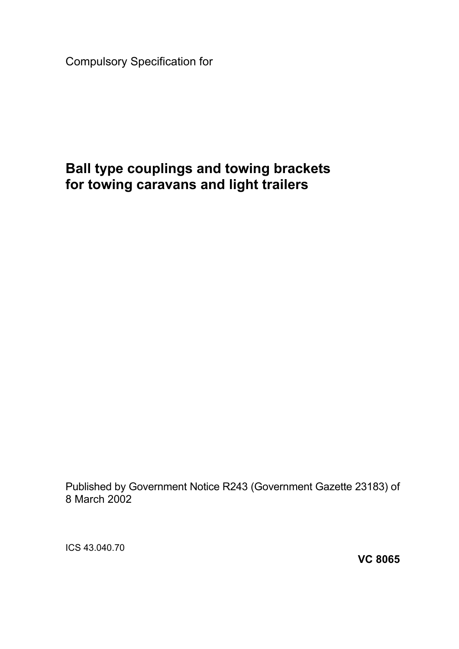Compulsory Specification for

# **Ball type couplings and towing brackets for towing caravans and light trailers**

Published by Government Notice R243 (Government Gazette 23183) of 8 March 2002

ICS 43.040.70

**VC 8065**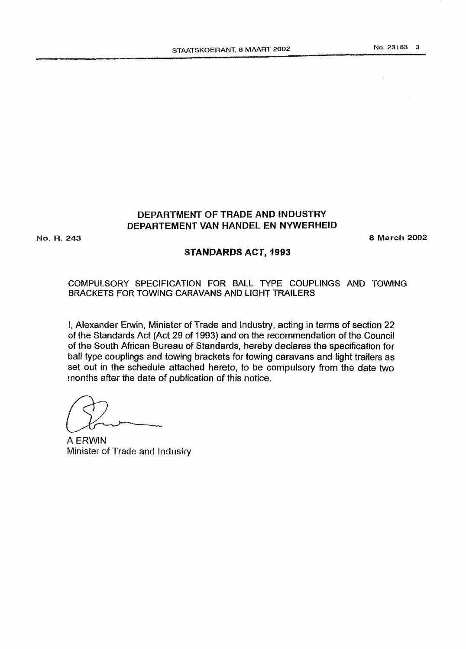## **DEPARTMENT OF TRADE AND INDUSTRY DEPARTEMENT VAN MANDEL EN NYWERHEID**

**No. R. 243** *8* **March** *2002* 

#### STANDARDS ACT, 1993

**COMPULSORY SPECIFICATION** FOR **BALL TYPE COUPLINGS AND** TOWING **BRACKETS** FOR **TQWIMG CARAVANS AND LIGHT TRAILERS** 

*8,* Alexander Erwin, **Minister** of Trade and **Industry,** acting in terms of section 22 of the Standards Act (Act 29 of 1993) and on the recommendation of the Council of the **South African** Btireau of Standards, **hereby declares** the specification for ball type couplings and towing brackets for **towing** caravans and light trailers **as**  set out in the schedule attached hereto, to be compulsory from the date two  $t$  months after the date of publication of this notice.

**A ERWIN Minister of Trade and Industry**